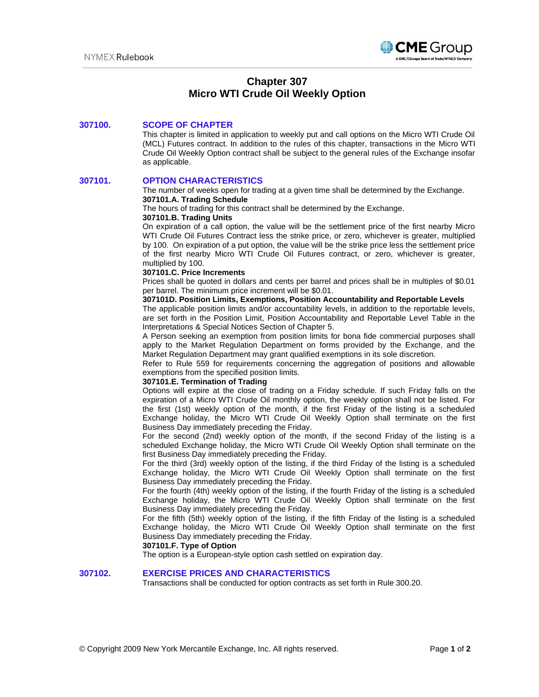

# **Chapter 307 Micro WTI Crude Oil Weekly Option**

# **307100. SCOPE OF CHAPTER**

This chapter is limited in application to weekly put and call options on the Micro WTI Crude Oil (MCL) Futures contract. In addition to the rules of this chapter, transactions in the Micro WTI Crude Oil Weekly Option contract shall be subject to the general rules of the Exchange insofar as applicable.

## **307101. OPTION CHARACTERISTICS**

The number of weeks open for trading at a given time shall be determined by the Exchange. **307101.A. Trading Schedule**

The hours of trading for this contract shall be determined by the Exchange.

#### **307101.B. Trading Units**

On expiration of a call option, the value will be the settlement price of the first nearby Micro WTI Crude Oil Futures Contract less the strike price, or zero, whichever is greater, multiplied by 100. On expiration of a put option, the value will be the strike price less the settlement price of the first nearby Micro WTI Crude Oil Futures contract, or zero, whichever is greater, multiplied by 100.

#### **307101.C. Price Increments**

Prices shall be quoted in dollars and cents per barrel and prices shall be in multiples of \$0.01 per barrel. The minimum price increment will be \$0.01.

#### **307101D. Position Limits, Exemptions, Position Accountability and Reportable Levels**

The applicable position limits and/or accountability levels, in addition to the reportable levels, are set forth in the Position Limit, Position Accountability and Reportable Level Table in the Interpretations & Special Notices Section of Chapter 5.

A Person seeking an exemption from position limits for bona fide commercial purposes shall apply to the Market Regulation Department on forms provided by the Exchange, and the Market Regulation Department may grant qualified exemptions in its sole discretion.

Refer to Rule 559 for requirements concerning the aggregation of positions and allowable exemptions from the specified position limits.

## **307101.E. Termination of Trading**

Options will expire at the close of trading on a Friday schedule. If such Friday falls on the expiration of a Micro WTI Crude Oil monthly option, the weekly option shall not be listed. For the first (1st) weekly option of the month, if the first Friday of the listing is a scheduled Exchange holiday, the Micro WTI Crude Oil Weekly Option shall terminate on the first Business Day immediately preceding the Friday.

For the second (2nd) weekly option of the month, if the second Friday of the listing is a scheduled Exchange holiday, the Micro WTI Crude Oil Weekly Option shall terminate on the first Business Day immediately preceding the Friday.

For the third (3rd) weekly option of the listing, if the third Friday of the listing is a scheduled Exchange holiday, the Micro WTI Crude Oil Weekly Option shall terminate on the first Business Day immediately preceding the Friday.

For the fourth (4th) weekly option of the listing, if the fourth Friday of the listing is a scheduled Exchange holiday, the Micro WTI Crude Oil Weekly Option shall terminate on the first Business Day immediately preceding the Friday.

For the fifth (5th) weekly option of the listing, if the fifth Friday of the listing is a scheduled Exchange holiday, the Micro WTI Crude Oil Weekly Option shall terminate on the first Business Day immediately preceding the Friday.

## **307101.F. Type of Option**

The option is a European-style option cash settled on expiration day.

## **307102. EXERCISE PRICES AND CHARACTERISTICS**

Transactions shall be conducted for option contracts as set forth in Rule 300.20.